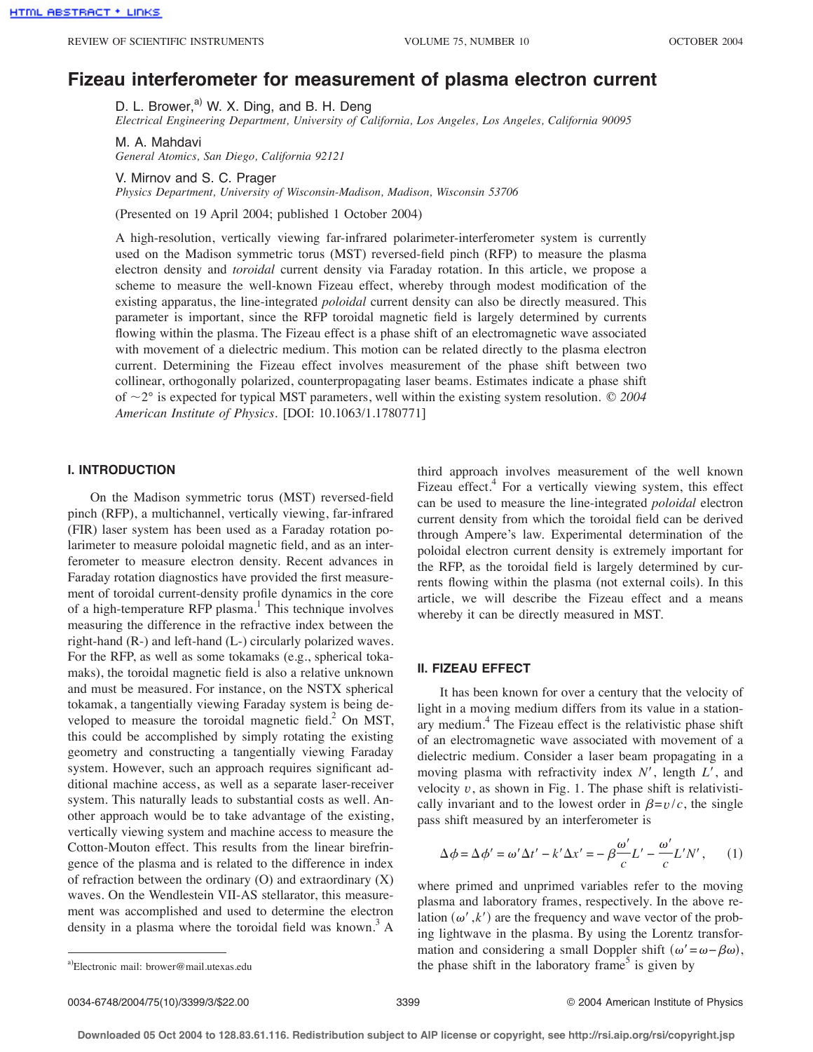# **Fizeau interferometer for measurement of plasma electron current**

D. L. Brower,<sup>a)</sup> W. X. Ding, and B. H. Deng *Electrical Engineering Department, University of California, Los Angeles, Los Angeles, California 90095*

M. A. Mahdavi

*General Atomics, San Diego, California 92121*

V. Mirnov and S. C. Prager

*Physics Department, University of Wisconsin-Madison, Madison, Wisconsin 53706*

(Presented on 19 April 2004; published 1 October 2004)

A high-resolution, vertically viewing far-infrared polarimeter-interferometer system is currently used on the Madison symmetric torus (MST) reversed-field pinch (RFP) to measure the plasma electron density and *toroidal* current density via Faraday rotation. In this article, we propose a scheme to measure the well-known Fizeau effect, whereby through modest modification of the existing apparatus, the line-integrated *poloidal* current density can also be directly measured. This parameter is important, since the RFP toroidal magnetic field is largely determined by currents flowing within the plasma. The Fizeau effect is a phase shift of an electromagnetic wave associated with movement of a dielectric medium. This motion can be related directly to the plasma electron current. Determining the Fizeau effect involves measurement of the phase shift between two collinear, orthogonally polarized, counterpropagating laser beams. Estimates indicate a phase shift of  $\sim$  2° is expected for typical MST parameters, well within the existing system resolution.  $\odot$  2004 *American Institute of Physics.* [DOI: 10.1063/1.1780771]

### **I. INTRODUCTION**

On the Madison symmetric torus (MST) reversed-field pinch (RFP), a multichannel, vertically viewing, far-infrared (FIR) laser system has been used as a Faraday rotation polarimeter to measure poloidal magnetic field, and as an interferometer to measure electron density. Recent advances in Faraday rotation diagnostics have provided the first measurement of toroidal current-density profile dynamics in the core of a high-temperature RFP plasma.<sup>1</sup> This technique involves measuring the difference in the refractive index between the right-hand (R-) and left-hand (L-) circularly polarized waves. For the RFP, as well as some tokamaks (e.g., spherical tokamaks), the toroidal magnetic field is also a relative unknown and must be measured. For instance, on the NSTX spherical tokamak, a tangentially viewing Faraday system is being developed to measure the toroidal magnetic field. $^{2}$  On MST, this could be accomplished by simply rotating the existing geometry and constructing a tangentially viewing Faraday system. However, such an approach requires significant additional machine access, as well as a separate laser-receiver system. This naturally leads to substantial costs as well. Another approach would be to take advantage of the existing, vertically viewing system and machine access to measure the Cotton-Mouton effect. This results from the linear birefringence of the plasma and is related to the difference in index of refraction between the ordinary  $(O)$  and extraordinary  $(X)$ waves. On the Wendlestein VII-AS stellarator, this measurement was accomplished and used to determine the electron density in a plasma where the toroidal field was known.<sup>3</sup> A third approach involves measurement of the well known Fizeau effect.<sup>4</sup> For a vertically viewing system, this effect can be used to measure the line-integrated *poloidal* electron current density from which the toroidal field can be derived through Ampere's law. Experimental determination of the poloidal electron current density is extremely important for the RFP, as the toroidal field is largely determined by currents flowing within the plasma (not external coils). In this article, we will describe the Fizeau effect and a means whereby it can be directly measured in MST.

#### **II. FIZEAU EFFECT**

It has been known for over a century that the velocity of light in a moving medium differs from its value in a stationary medium.<sup>4</sup> The Fizeau effect is the relativistic phase shift of an electromagnetic wave associated with movement of a dielectric medium. Consider a laser beam propagating in a moving plasma with refractivity index  $N'$ , length  $L'$ , and velocity  $v$ , as shown in Fig. 1. The phase shift is relativistically invariant and to the lowest order in  $\beta = v/c$ , the single pass shift measured by an interferometer is

$$
\Delta \phi = \Delta \phi' = \omega' \Delta t' - k' \Delta x' = -\beta \frac{\omega'}{c} L' - \frac{\omega'}{c} L' N', \qquad (1)
$$

where primed and unprimed variables refer to the moving plasma and laboratory frames, respectively. In the above relation  $(\omega', k')$  are the frequency and wave vector of the probing lightwave in the plasma. By using the Lorentz transformation and considering a small Doppler shift ( $\omega' = \omega - \beta \omega$ ), the phase shift in the laboratory frame<sup>5</sup> is given by

Electronic mail: brower@mail.utexas.edu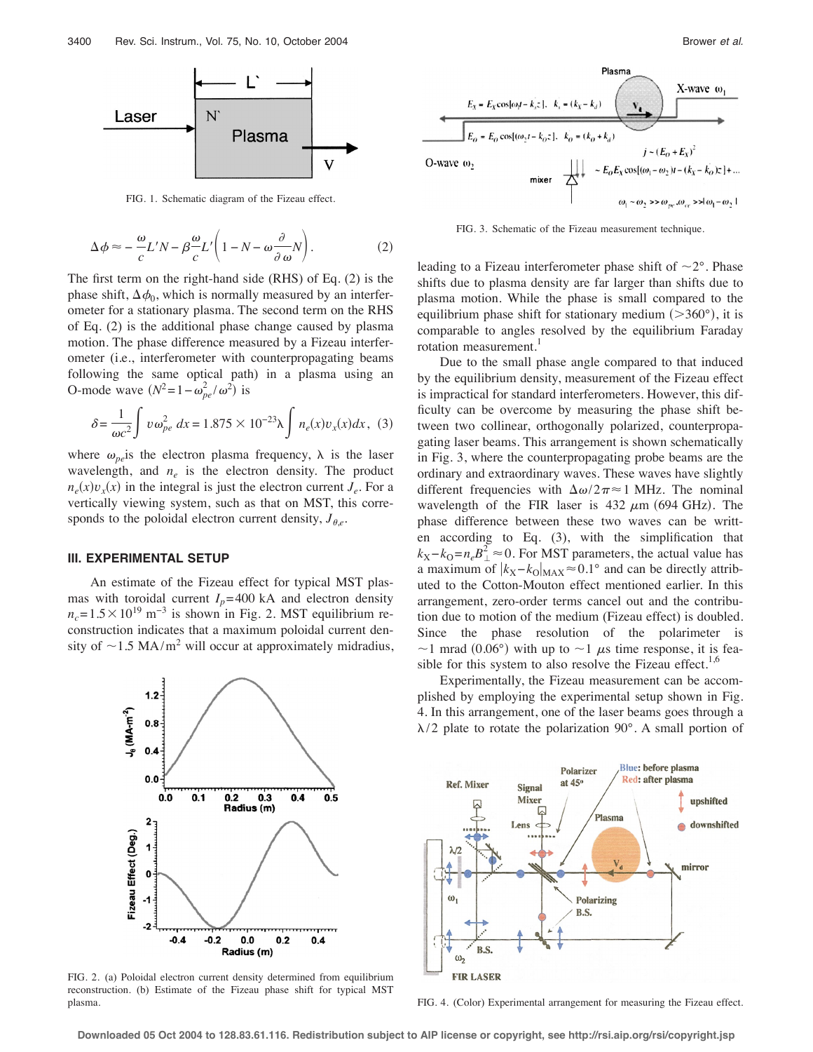

FIG. 1. Schematic diagram of the Fizeau effect.

$$
\Delta \phi \approx -\frac{\omega}{c} L' N - \beta \frac{\omega}{c} L' \left( 1 - N - \omega \frac{\partial}{\partial \omega} N \right). \tag{2}
$$

The first term on the right-hand side (RHS) of Eq. (2) is the phase shift,  $\Delta \phi_0$ , which is normally measured by an interferometer for a stationary plasma. The second term on the RHS of Eq. (2) is the additional phase change caused by plasma motion. The phase difference measured by a Fizeau interferometer (i.e., interferometer with counterpropagating beams following the same optical path) in a plasma using an O-mode wave  $(N^2 = 1 - \omega_{pe}^2 / \omega^2)$  is

$$
\delta = \frac{1}{\omega c^2} \int v \,\omega_{pe}^2 \, dx = 1.875 \times 10^{-23} \lambda \int n_e(x) v_x(x) dx, \tag{3}
$$

where  $\omega_{pe}$  is the electron plasma frequency,  $\lambda$  is the laser wavelength, and *ne* is the electron density. The product  $n_e(x)v_x(x)$  in the integral is just the electron current  $J_e$ . For a vertically viewing system, such as that on MST, this corresponds to the poloidal electron current density,  $J_{\theta,e}$ .

#### **III. EXPERIMENTAL SETUP**

An estimate of the Fizeau effect for typical MST plasmas with toroidal current  $I_p$ =400 kA and electron density  $n_c$ = 1.5 × 10<sup>19</sup> m<sup>-3</sup> is shown in Fig. 2. MST equilibrium reconstruction indicates that a maximum poloidal current density of  $\sim$  1.5 MA/m<sup>2</sup> will occur at approximately midradius,



FIG. 3. Schematic of the Fizeau measurement technique.

leading to a Fizeau interferometer phase shift of  $\sim 2^{\circ}$ . Phase shifts due to plasma density are far larger than shifts due to plasma motion. While the phase is small compared to the equilibrium phase shift for stationary medium  $(>360^{\circ})$ , it is comparable to angles resolved by the equilibrium Faraday rotation measurement.<sup>1</sup>

Due to the small phase angle compared to that induced by the equilibrium density, measurement of the Fizeau effect is impractical for standard interferometers. However, this difficulty can be overcome by measuring the phase shift between two collinear, orthogonally polarized, counterpropagating laser beams. This arrangement is shown schematically in Fig. 3, where the counterpropagating probe beams are the ordinary and extraordinary waves. These waves have slightly different frequencies with  $\Delta \omega / 2\pi \approx 1$  MHz. The nominal wavelength of the FIR laser is  $432 \mu m$  (694 GHz). The phase difference between these two waves can be written according to Eq. (3), with the simplification that  $k_X - k_O = n_e B_\perp^2 \approx 0$ . For MST parameters, the actual value has a maximum of  $|k_X - k_0|$ <sub>MAX</sub> ≈ 0.1° and can be directly attributed to the Cotton-Mouton effect mentioned earlier. In this arrangement, zero-order terms cancel out and the contribution due to motion of the medium (Fizeau effect) is doubled. Since the phase resolution of the polarimeter is  $\sim$ 1 mrad (0.06°) with up to  $\sim$ 1  $\mu$ s time response, it is feasible for this system to also resolve the Fizeau effect.<sup>1,6</sup>



FIG. 2. (a) Poloidal electron current density determined from equilibrium reconstruction. (b) Estimate of the Fizeau phase shift for typical MST plasma.

Experimentally, the Fizeau measurement can be accomplished by employing the experimental setup shown in Fig. 4. In this arrangement, one of the laser beams goes through a  $\lambda/2$  plate to rotate the polarization 90°. A small portion of



FIG. 4. (Color) Experimental arrangement for measuring the Fizeau effect.

**Downloaded 05 Oct 2004 to 128.83.61.116. Redistribution subject to AIP license or copyright, see http://rsi.aip.org/rsi/copyright.jsp**